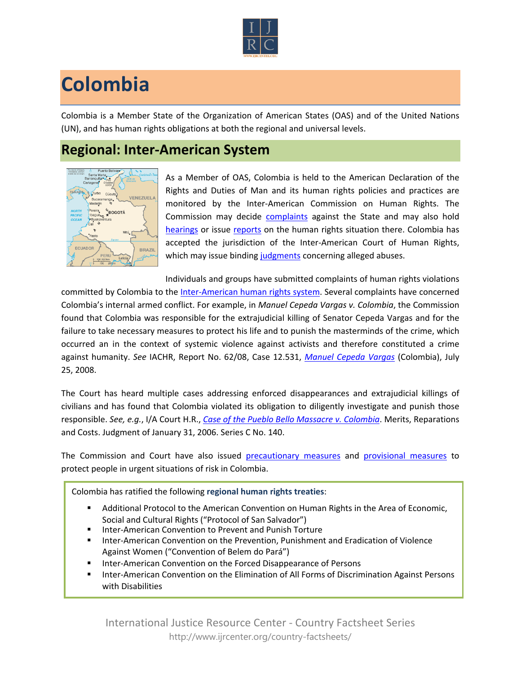

## **Colombia**

Colombia is a Member State of the Organization of American States (OAS) and of the United Nations (UN), and has human rights obligations at both the regional and universal levels.

## **Regional: Inter-American System**



As a Member of OAS, Colombia is held to the American Declaration of the Rights and Duties of Man and its human rights policies and practices are monitored by the Inter-American Commission on Human Rights. The Commission may decide [complaints](http://www.oas.org/en/iachr/decisions/merits.asp) against the State and may also hold [hearings](http://www.oas.org/es/cidh/audiencias/advanced.aspx?lang=en) or issue [reports](http://www.oas.org/en/iachr/reports/country.asp) on the human rights situation there. Colombia has accepted the jurisdiction of the Inter-American Court of Human Rights, which may issue binding [judgments](http://www.corteidh.or.cr/cf/Jurisprudencia2/busqueda_casos_contenciosos.cfm?lang=en) concerning alleged abuses.

Individuals and groups have submitted complaints of human rights violations committed by Colombia to the [Inter-American human rights system](http://www.ijrcenter.org/regional/inter-american-system/). Several complaints have concerned Colombia's internal armed conflict. For example, in *Manuel Cepeda Vargas v. Colombia*, the Commission found that Colombia was responsible for the extrajudicial killing of Senator Cepeda Vargas and for the failure to take necessary measures to protect his life and to punish the masterminds of the crime, which occurred an in the context of systemic violence against activists and therefore constituted a crime against humanity. *See* IACHR, Report No. 62/08, Case 12.531, *[Manuel Cepeda Vargas](https://www.cidh.oas.org/demandas/12.531%20Manuel%20Cepeda%20Vargas%20Colombia%2014%20nov%2008%20INGLES.pdf)* (Colombia), July 25, 2008.

The Court has heard multiple cases addressing enforced disappearances and extrajudicial killings of civilians and has found that Colombia violated its obligation to diligently investigate and punish those responsible. *See, e.g.*, I/A Court H.R., *[Case of the Pueblo Bello Massacre v. Colombia](http://www.corteidh.or.cr/docs/casos/articulos/seriec_140_ing.pdf)*. Merits, Reparations and Costs. Judgment of January 31, 2006. Series C No. 140.

The Commission and Court have also issued [precautionary measures](http://www.oas.org/en/iachr/decisions/precautionary.asp) and [provisional measures](http://www.corteidh.or.cr/cf/Jurisprudencia2/busqueda_medidas_provisionales.cfm?lang=en) to protect people in urgent situations of risk in Colombia.

Colombia has ratified the following **regional human rights treaties**:

- Additional Protocol to the American Convention on Human Rights in the Area of Economic, Social and Cultural Rights ("Protocol of San Salvador")
- Inter-American Convention to Prevent and Punish Torture
- **Inter-American Convention on the Prevention, Punishment and Eradication of Violence** Against Women ("Convention of Belem do Pará")
- Inter-American Convention on the Forced Disappearance of Persons
- Inter-American Convention on the Elimination of All Forms of Discrimination Against Persons with Disabilities

International Justice Resource Center - Country Factsheet Series http://www.ijrcenter.org/country-factsheets/